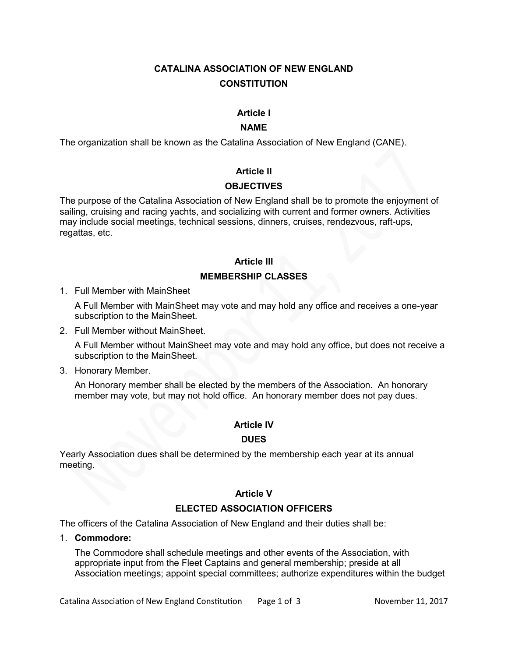# **CATALINA ASSOCIATION OF NEW ENGLAND CONSTITUTION**

#### **Article I**

#### **NAME**

The organization shall be known as the Catalina Association of New England (CANE).

#### **Article II**

#### **OBJECTIVES**

The purpose of the Catalina Association of New England shall be to promote the enjoyment of sailing, cruising and racing yachts, and socializing with current and former owners. Activities may include social meetings, technical sessions, dinners, cruises, rendezvous, raft-ups, regattas, etc.

# **Article III MEMBERSHIP CLASSES**

1. Full Member with MainSheet

A Full Member with MainSheet may vote and may hold any office and receives a one-year subscription to the MainSheet.

2. Full Member without MainSheet.

A Full Member without MainSheet may vote and may hold any office, but does not receive a subscription to the MainSheet.

3. Honorary Member.

An Honorary member shall be elected by the members of the Association. An honorary member may vote, but may not hold office. An honorary member does not pay dues.

# **Article IV**

#### **DUES**

Yearly Association dues shall be determined by the membership each year at its annual meeting.

#### **Article V**

# **ELECTED ASSOCIATION OFFICERS**

The officers of the Catalina Association of New England and their duties shall be:

1. **Commodore:**

The Commodore shall schedule meetings and other events of the Association, with appropriate input from the Fleet Captains and general membership; preside at all Association meetings; appoint special committees; authorize expenditures within the budget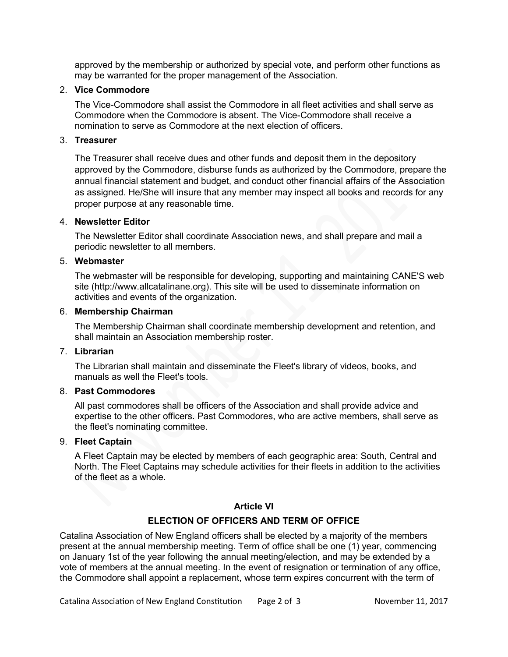approved by the membership or authorized by special vote, and perform other functions as may be warranted for the proper management of the Association.

#### 2. **Vice Commodore**

The Vice-Commodore shall assist the Commodore in all fleet activities and shall serve as Commodore when the Commodore is absent. The Vice-Commodore shall receive a nomination to serve as Commodore at the next election of officers.

#### 3. **Treasurer**

The Treasurer shall receive dues and other funds and deposit them in the depository approved by the Commodore, disburse funds as authorized by the Commodore, prepare the annual financial statement and budget, and conduct other financial affairs of the Association as assigned. He/She will insure that any member may inspect all books and records for any proper purpose at any reasonable time.

#### 4. **Newsletter Editor**

The Newsletter Editor shall coordinate Association news, and shall prepare and mail a periodic newsletter to all members.

#### 5. **Webmaster**

The webmaster will be responsible for developing, supporting and maintaining CANE'S web site (http://www.allcatalinane.org). This site will be used to disseminate information on activities and events of the organization.

#### 6. **Membership Chairman**

The Membership Chairman shall coordinate membership development and retention, and shall maintain an Association membership roster.

#### 7. **Librarian**

The Librarian shall maintain and disseminate the Fleet's library of videos, books, and manuals as well the Fleet's tools.

# 8. **Past Commodores**

All past commodores shall be officers of the Association and shall provide advice and expertise to the other officers. Past Commodores, who are active members, shall serve as the fleet's nominating committee.

#### 9. **Fleet Captain**

A Fleet Captain may be elected by members of each geographic area: South, Central and North. The Fleet Captains may schedule activities for their fleets in addition to the activities of the fleet as a whole.

# **Article VI**

# **ELECTION OF OFFICERS AND TERM OF OFFICE**

Catalina Association of New England officers shall be elected by a majority of the members present at the annual membership meeting. Term of office shall be one (1) year, commencing on January 1st of the year following the annual meeting/election, and may be extended by a vote of members at the annual meeting. In the event of resignation or termination of any office, the Commodore shall appoint a replacement, whose term expires concurrent with the term of